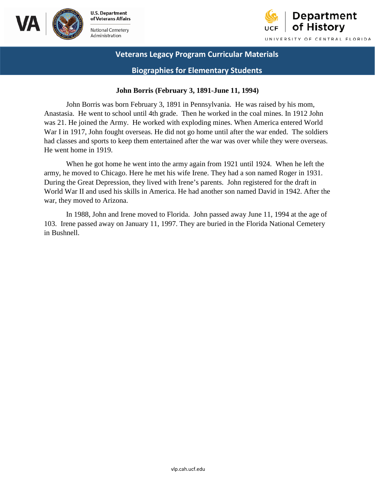





**Biographies for Elementary Students** 

#### **John Borris (February 3, 1891-June 11, 1994)**

 Anastasia. He went to school until 4th grade. Then he worked in the coal mines. In 1912 John was 21. He joined the Army. He worked with exploding mines. When America entered World John Borris was born February 3, 1891 in Pennsylvania. He was raised by his mom, War I in 1917, John fought overseas. He did not go home until after the war ended. The soldiers had classes and sports to keep them entertained after the war was over while they were overseas. He went home in 1919.

 World War II and used his skills in America. He had another son named David in 1942. After the When he got home he went into the army again from 1921 until 1924. When he left the army, he moved to Chicago. Here he met his wife Irene. They had a son named Roger in 1931. During the Great Depression, they lived with Irene's parents. John registered for the draft in war, they moved to Arizona.

In 1988, John and Irene moved to Florida. John passed away June 11, 1994 at the age of 103. Irene passed away on January 11, 1997. They are buried in the Florida National Cemetery in Bushnell.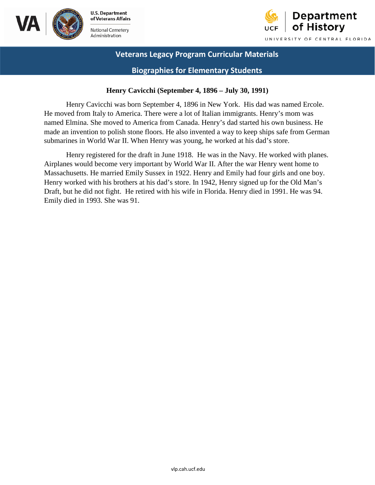



### **Biographies for Elementary Students**

#### **Henry Cavicchi (September 4, 1896 – July 30, 1991)**

 He moved from Italy to America. There were a lot of Italian immigrants. Henry's mom was submarines in World War II. When Henry was young, he worked at his dad's store. Henry Cavicchi was born September 4, 1896 in New York. His dad was named Ercole. named Elmina. She moved to America from Canada. Henry's dad started his own business. He made an invention to polish stone floors. He also invented a way to keep ships safe from German

Henry registered for the draft in June 1918. He was in the Navy. He worked with planes. Airplanes would become very important by World War II. After the war Henry went home to Massachusetts. He married Emily Sussex in 1922. Henry and Emily had four girls and one boy. Henry worked with his brothers at his dad's store. In 1942, Henry signed up for the Old Man's Draft, but he did not fight. He retired with his wife in Florida. Henry died in 1991. He was 94. Emily died in 1993. She was 91.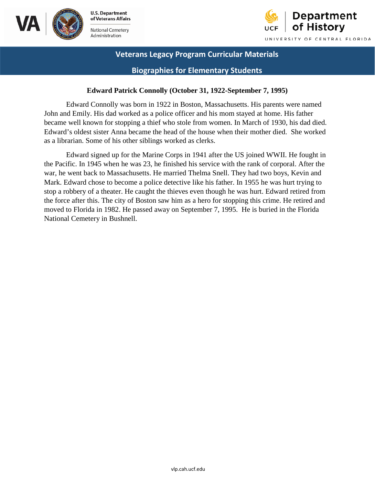



### **Biographies for Elementary Students**

#### **Edward Patrick Connolly (October 31, 1922-September 7, 1995)**

 Edward Connolly was born in 1922 in Boston, Massachusetts. His parents were named John and Emily. His dad worked as a police officer and his mom stayed at home. His father became well known for stopping a thief who stole from women. In March of 1930, his dad died. Edward's oldest sister Anna became the head of the house when their mother died. She worked as a librarian. Some of his other siblings worked as clerks.

Edward signed up for the Marine Corps in 1941 after the US joined WWII. He fought in the Pacific. In 1945 when he was 23, he finished his service with the rank of corporal. After the war, he went back to Massachusetts. He married Thelma Snell. They had two boys, Kevin and Mark. Edward chose to become a police detective like his father. In 1955 he was hurt trying to stop a robbery of a theater. He caught the thieves even though he was hurt. Edward retired from the force after this. The city of Boston saw him as a hero for stopping this crime. He retired and moved to Florida in 1982. He passed away on September 7, 1995. He is buried in the Florida National Cemetery in Bushnell.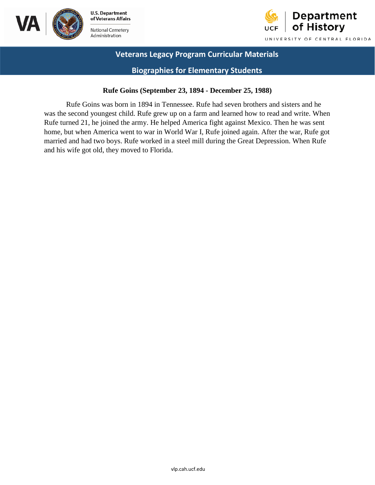



**Biographies for Elementary Students** 

#### **Rufe Goins (September 23, 1894 - December 25, 1988)**

Rufe Goins was born in 1894 in Tennessee. Rufe had seven brothers and sisters and he was the second youngest child. Rufe grew up on a farm and learned how to read and write. When Rufe turned 21, he joined the army. He helped America fight against Mexico. Then he was sent home, but when America went to war in World War I, Rufe joined again. After the war, Rufe got married and had two boys. Rufe worked in a steel mill during the Great Depression. When Rufe and his wife got old, they moved to Florida.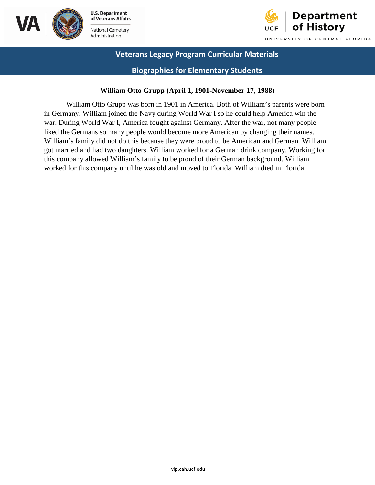



### **Biographies for Elementary Students**

### **William Otto Grupp (April 1, 1901-November 17, 1988)**

William Otto Grupp was born in 1901 in America. Both of William's parents were born in Germany. William joined the Navy during World War I so he could help America win the war. During World War I, America fought against Germany. After the war, not many people liked the Germans so many people would become more American by changing their names. William's family did not do this because they were proud to be American and German. William got married and had two daughters. William worked for a German drink company. Working for this company allowed William's family to be proud of their German background. William worked for this company until he was old and moved to Florida. William died in Florida.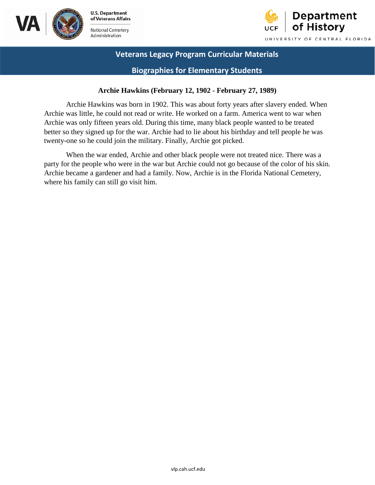



**Biographies for Elementary Students** 

### **Archie Hawkins (February 12, 1902 - February 27, 1989)**

 Archie Hawkins was born in 1902. This was about forty years after slavery ended. When twenty-one so he could join the military. Finally, Archie got picked. Archie was little, he could not read or write. He worked on a farm. America went to war when Archie was only fifteen years old. During this time, many black people wanted to be treated better so they signed up for the war. Archie had to lie about his birthday and tell people he was

 Archie became a gardener and had a family. Now, Archie is in the Florida National Cemetery, When the war ended, Archie and other black people were not treated nice. There was a party for the people who were in the war but Archie could not go because of the color of his skin. where his family can still go visit him.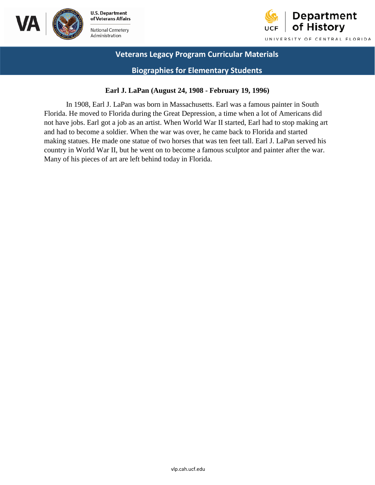



### **Biographies for Elementary Students**

### **Earl J. LaPan (August 24, 1908 - February 19, 1996)**

 In 1908, Earl J. LaPan was born in Massachusetts. Earl was a famous painter in South not have jobs. Earl got a job as an artist. When World War II started, Earl had to stop making art Florida. He moved to Florida during the Great Depression, a time when a lot of Americans did and had to become a soldier. When the war was over, he came back to Florida and started making statues. He made one statue of two horses that was ten feet tall. Earl J. LaPan served his country in World War II, but he went on to become a famous sculptor and painter after the war. Many of his pieces of art are left behind today in Florida.